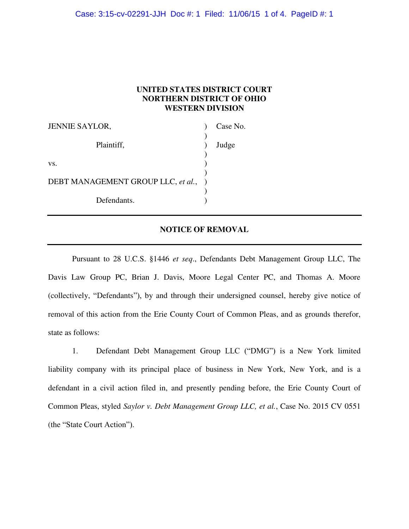# **UNITED STATES DISTRICT COURT NORTHERN DISTRICT OF OHIO WESTERN DIVISION**

| <b>JENNIE SAYLOR,</b>              | Case No. |
|------------------------------------|----------|
| Plaintiff,                         | Judge    |
| VS.                                |          |
| DEBT MANAGEMENT GROUP LLC, et al., |          |
| Defendants.                        |          |

## **NOTICE OF REMOVAL**

 Pursuant to 28 U.C.S. §1446 *et seq*., Defendants Debt Management Group LLC, The Davis Law Group PC, Brian J. Davis, Moore Legal Center PC, and Thomas A. Moore (collectively, "Defendants"), by and through their undersigned counsel, hereby give notice of removal of this action from the Erie County Court of Common Pleas, and as grounds therefor, state as follows:

1. Defendant Debt Management Group LLC ("DMG") is a New York limited liability company with its principal place of business in New York, New York, and is a defendant in a civil action filed in, and presently pending before, the Erie County Court of Common Pleas, styled *Saylor v. Debt Management Group LLC, et al.*, Case No. 2015 CV 0551 (the "State Court Action").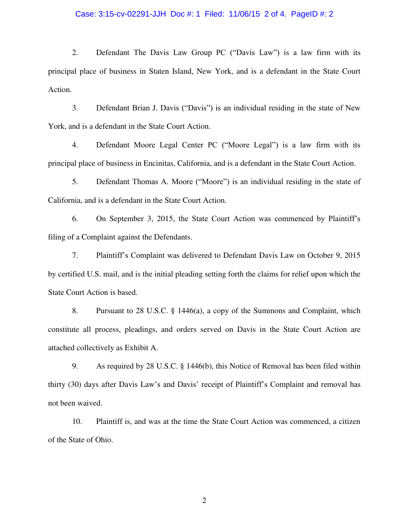### Case: 3:15-cv-02291-JJH Doc #: 1 Filed: 11/06/15 2 of 4. PageID #: 2

2. Defendant The Davis Law Group PC ("Davis Law") is a law firm with its principal place of business in Staten Island, New York, and is a defendant in the State Court Action.

3. Defendant Brian J. Davis ("Davis") is an individual residing in the state of New York, and is a defendant in the State Court Action.

4. Defendant Moore Legal Center PC ("Moore Legal") is a law firm with its principal place of business in Encinitas, California, and is a defendant in the State Court Action.

5. Defendant Thomas A. Moore ("Moore") is an individual residing in the state of California, and is a defendant in the State Court Action.

6. On September 3, 2015, the State Court Action was commenced by Plaintiff's filing of a Complaint against the Defendants.

7. Plaintiff's Complaint was delivered to Defendant Davis Law on October 9, 2015 by certified U.S. mail, and is the initial pleading setting forth the claims for relief upon which the State Court Action is based.

8. Pursuant to 28 U.S.C. § 1446(a), a copy of the Summons and Complaint, which constitute all process, pleadings, and orders served on Davis in the State Court Action are attached collectively as Exhibit A.

9. As required by 28 U.S.C. § 1446(b), this Notice of Removal has been filed within thirty (30) days after Davis Law's and Davis' receipt of Plaintiff's Complaint and removal has not been waived.

10. Plaintiff is, and was at the time the State Court Action was commenced, a citizen of the State of Ohio.

2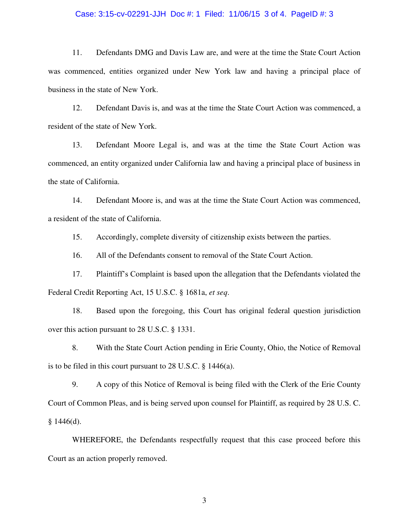#### Case: 3:15-cv-02291-JJH Doc #: 1 Filed: 11/06/15 3 of 4. PageID #: 3

11. Defendants DMG and Davis Law are, and were at the time the State Court Action was commenced, entities organized under New York law and having a principal place of business in the state of New York.

12. Defendant Davis is, and was at the time the State Court Action was commenced, a resident of the state of New York.

13. Defendant Moore Legal is, and was at the time the State Court Action was commenced, an entity organized under California law and having a principal place of business in the state of California.

14. Defendant Moore is, and was at the time the State Court Action was commenced, a resident of the state of California.

15. Accordingly, complete diversity of citizenship exists between the parties.

16. All of the Defendants consent to removal of the State Court Action.

17. Plaintiff's Complaint is based upon the allegation that the Defendants violated the Federal Credit Reporting Act, 15 U.S.C. § 1681a, *et seq*.

18. Based upon the foregoing, this Court has original federal question jurisdiction over this action pursuant to 28 U.S.C. § 1331.

 8. With the State Court Action pending in Erie County, Ohio, the Notice of Removal is to be filed in this court pursuant to 28 U.S.C. § 1446(a).

 9. A copy of this Notice of Removal is being filed with the Clerk of the Erie County Court of Common Pleas, and is being served upon counsel for Plaintiff, as required by 28 U.S. C.  $§$  1446(d).

 WHEREFORE, the Defendants respectfully request that this case proceed before this Court as an action properly removed.

3